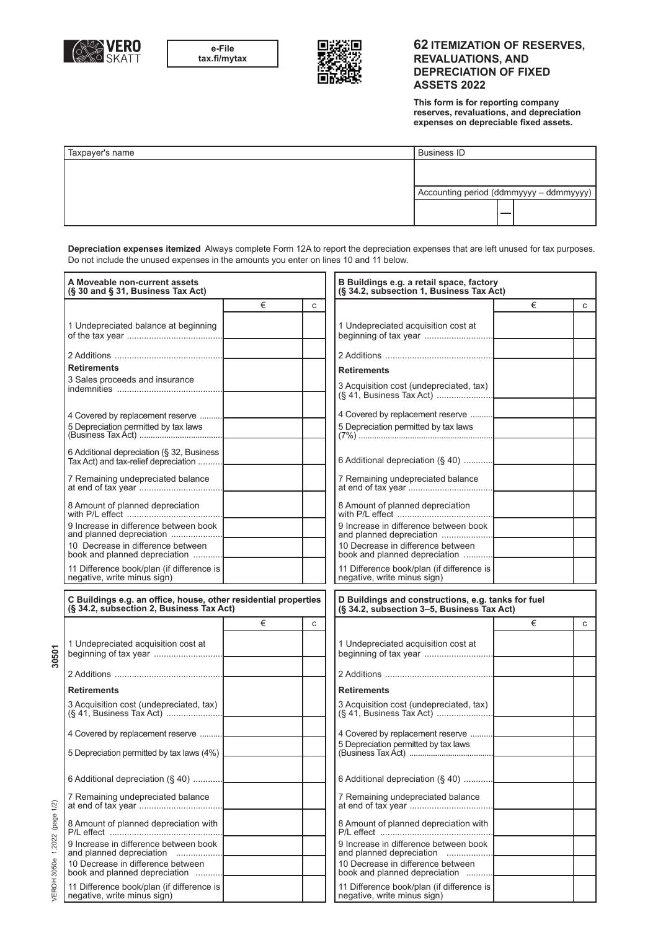



## **62 ITEMIZATION OF RESERVES, REVALUATIONS, AND DEPRECIATION OF FIXED ASSETS 2022**

**This form is for reporting company reserves, revaluations, and depreciation expenses on depreciable fixed assets.**

| Taxpayer's name | <b>Business ID</b> |                                         |
|-----------------|--------------------|-----------------------------------------|
|                 |                    |                                         |
|                 |                    | Accounting period (ddmmyyyy - ddmmyyyy) |
|                 |                    |                                         |

 **Depreciation expenses itemized** Always complete Form 12A to report the depreciation expenses that are left unused for tax purposes. Do not include the unused expenses in the amounts you enter on lines 10 and 11 below.

| A Moveable non-current assets<br>(§ 30 and § 31, Business Tax Act)                                          |   |   | B Buildings e.g. a retail space, factory<br>(§ 34.2, subsection 1, Business Tax Act)             |   |   |
|-------------------------------------------------------------------------------------------------------------|---|---|--------------------------------------------------------------------------------------------------|---|---|
|                                                                                                             | € | C |                                                                                                  | € | C |
| 1 Undepreciated balance at beginning                                                                        |   |   | 1 Undepreciated acquisition cost at                                                              |   |   |
|                                                                                                             |   |   |                                                                                                  |   |   |
| <b>Retirements</b>                                                                                          |   |   | <b>Retirements</b>                                                                               |   |   |
| 3 Sales proceeds and insurance                                                                              |   |   | 3 Acquisition cost (undepreciated, tax)                                                          |   |   |
| 4 Covered by replacement reserve<br>5 Depreciation permitted by tax laws                                    |   |   | 4 Covered by replacement reserve<br>5 Depreciation permitted by tax laws                         |   |   |
| 6 Additional depreciation (§ 32, Business<br>Tax Act) and tax-relief depreciation                           |   |   | 6 Additional depreciation (§ 40)                                                                 |   |   |
| 7 Remaining undepreciated balance                                                                           |   |   | 7 Remaining undepreciated balance                                                                |   |   |
| 8 Amount of planned depreciation                                                                            |   |   | 8 Amount of planned depreciation                                                                 |   |   |
| 9 Increase in difference between book<br>and planned depreciation                                           |   |   | 9 Increase in difference between book<br>and planned depreciation                                |   |   |
| 10 Decrease in difference between<br>book and planned depreciation                                          |   |   | 10 Decrease in difference between<br>book and planned depreciation                               |   |   |
| 11 Difference book/plan (if difference is<br>negative, write minus sign)                                    |   |   | 11 Difference book/plan (if difference is<br>negative, write minus sign)                         |   |   |
| C Buildings e.g. an office, house, other residential properties<br>(§ 34.2, subsection 2, Business Tax Act) |   |   | D Buildings and constructions, e.g. tanks for fuel<br>(§ 34.2, subsection 3-5, Business Tax Act) |   |   |
|                                                                                                             | € | C |                                                                                                  | € | C |
| 1 Undepreciated acquisition cost at                                                                         |   |   | 1 Undepreciated acquisition cost at                                                              |   |   |
|                                                                                                             |   |   |                                                                                                  |   |   |
| <b>Retirements</b>                                                                                          |   |   | <b>Retirements</b>                                                                               |   |   |
| 3 Acquisition cost (undepreciated, tax)                                                                     |   |   | 3 Acquisition cost (undepreciated, tax)                                                          |   |   |
| 4 Covered by replacement reserve                                                                            |   |   | 4 Covered by replacement reserve                                                                 |   |   |
| 5 Depreciation permitted by tax laws (4%)                                                                   |   |   | 5 Depreciation permitted by tax laws                                                             |   |   |
| 6 Additional depreciation (§ 40)                                                                            |   |   | 6 Additional depreciation (§ 40)                                                                 |   |   |
| 7 Remaining undepreciated balance                                                                           |   |   | 7 Remaining undepreciated balance                                                                |   |   |
| 8 Amount of planned depreciation with                                                                       |   |   | 8 Amount of planned depreciation with                                                            |   |   |
| 9 Increase in difference between book<br>and planned depreciation                                           |   |   | 9 Increase in difference between book<br>and planned depreciation                                |   |   |
| 10 Decrease in difference between<br>book and planned depreciation                                          |   |   | 10 Decrease in difference between<br>book and planned depreciation                               |   |   |
| 11 Difference book/plan (if difference is<br>negative, write minus sign)                                    |   |   | 11 Difference book/plan (if difference is<br>negative, write minus sign)                         |   |   |